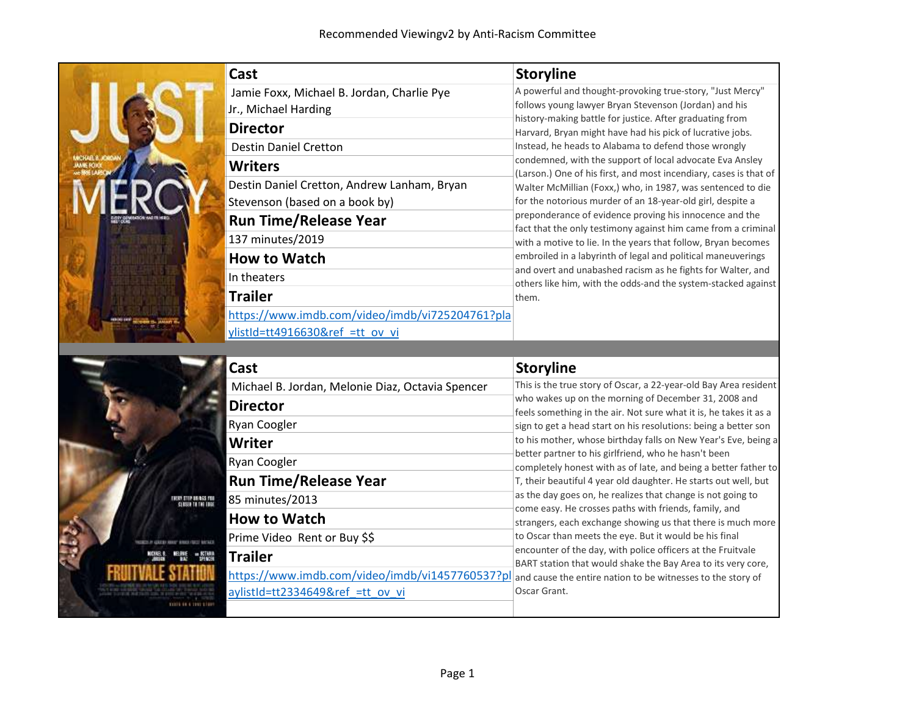1001111111111111

|                      | <b>Cast</b>                                                                   | <b>Storyline</b>                                                                                                                                                                                                                                                                                                              |
|----------------------|-------------------------------------------------------------------------------|-------------------------------------------------------------------------------------------------------------------------------------------------------------------------------------------------------------------------------------------------------------------------------------------------------------------------------|
|                      | Jamie Foxx, Michael B. Jordan, Charlie Pye<br>Jr., Michael Harding            | A powerful and thought-provoking true-story, "Just Mercy"<br>follows young lawyer Bryan Stevenson (Jordan) and his                                                                                                                                                                                                            |
|                      | <b>Director</b>                                                               | history-making battle for justice. After graduating from<br>Harvard, Bryan might have had his pick of lucrative jobs.                                                                                                                                                                                                         |
|                      | <b>Destin Daniel Cretton</b><br><b>Writers</b>                                | Instead, he heads to Alabama to defend those wrongly<br>condemned, with the support of local advocate Eva Ansley                                                                                                                                                                                                              |
|                      | Destin Daniel Cretton, Andrew Lanham, Bryan<br>Stevenson (based on a book by) | (Larson.) One of his first, and most incendiary, cases is that of<br>Walter McMillian (Foxx,) who, in 1987, was sentenced to die<br>for the notorious murder of an 18-year-old girl, despite a                                                                                                                                |
|                      | <b>Run Time/Release Year</b>                                                  | preponderance of evidence proving his innocence and the<br>fact that the only testimony against him came from a criminal                                                                                                                                                                                                      |
|                      | 137 minutes/2019<br><b>How to Watch</b>                                       | with a motive to lie. In the years that follow, Bryan becomes<br>embroiled in a labyrinth of legal and political maneuverings                                                                                                                                                                                                 |
|                      | In theaters                                                                   | and overt and unabashed racism as he fights for Walter, and<br>others like him, with the odds-and the system-stacked against                                                                                                                                                                                                  |
|                      | <b>Trailer</b><br>https://www.imdb.com/video/imdb/vi725204761?pla             | them.                                                                                                                                                                                                                                                                                                                         |
|                      | ylistId=tt4916630&ref_=tt_ov_vi                                               |                                                                                                                                                                                                                                                                                                                               |
|                      | Cast                                                                          | <b>Storyline</b>                                                                                                                                                                                                                                                                                                              |
|                      |                                                                               |                                                                                                                                                                                                                                                                                                                               |
|                      | Michael B. Jordan, Melonie Diaz, Octavia Spencer                              |                                                                                                                                                                                                                                                                                                                               |
|                      | <b>Director</b>                                                               | who wakes up on the morning of December 31, 2008 and<br>feels something in the air. Not sure what it is, he takes it as a                                                                                                                                                                                                     |
|                      | <b>Ryan Coogler</b><br>Writer                                                 | sign to get a head start on his resolutions: being a better son                                                                                                                                                                                                                                                               |
|                      | Ryan Coogler                                                                  | better partner to his girlfriend, who he hasn't been                                                                                                                                                                                                                                                                          |
|                      | <b>Run Time/Release Year</b>                                                  | T, their beautiful 4 year old daughter. He starts out well, but                                                                                                                                                                                                                                                               |
| EARLETTER HELDES FOR | 85 minutes/2013                                                               | This is the true story of Oscar, a 22-year-old Bay Area resident<br>to his mother, whose birthday falls on New Year's Eve, being a<br>completely honest with as of late, and being a better father to<br>as the day goes on, he realizes that change is not going to<br>come easy. He crosses paths with friends, family, and |
|                      | <b>How to Watch</b><br>Prime Video Rent or Buy \$\$                           | strangers, each exchange showing us that there is much more<br>to Oscar than meets the eye. But it would be his final                                                                                                                                                                                                         |
|                      | <b>Trailer</b><br>https://www.imdb.com/video/imdb/vi1457760537?pl             | encounter of the day, with police officers at the Fruitvale<br>BART station that would shake the Bay Area to its very core,                                                                                                                                                                                                   |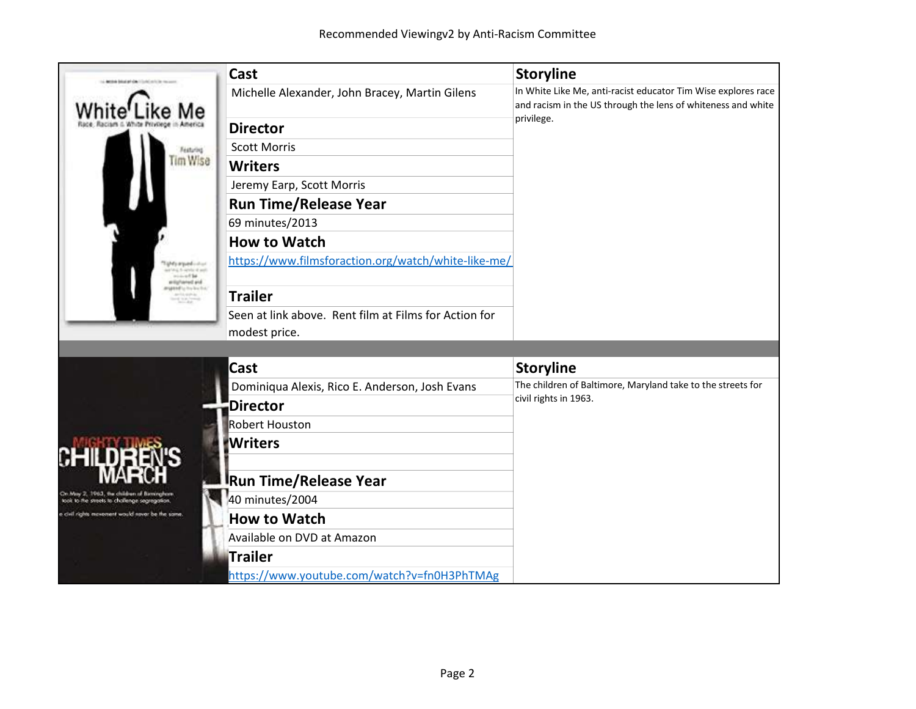| <b>And the School and side, I is the first that the coun-</b>                              | Cast                                                  | <b>Storyline</b>                                                                                                              |
|--------------------------------------------------------------------------------------------|-------------------------------------------------------|-------------------------------------------------------------------------------------------------------------------------------|
|                                                                                            | Michelle Alexander, John Bracey, Martin Gilens        | In White Like Me, anti-racist educator Tim Wise explores race<br>and racism in the US through the lens of whiteness and white |
|                                                                                            | <b>Director</b>                                       | privilege.                                                                                                                    |
| Festuring                                                                                  | <b>Scott Morris</b>                                   |                                                                                                                               |
| Tim Wise                                                                                   | <b>Writers</b>                                        |                                                                                                                               |
|                                                                                            | Jeremy Earp, Scott Morris                             |                                                                                                                               |
|                                                                                            | <b>Run Time/Release Year</b>                          |                                                                                                                               |
|                                                                                            | 69 minutes/2013                                       |                                                                                                                               |
|                                                                                            | <b>How to Watch</b>                                   |                                                                                                                               |
| <b>UNIVATION</b> CONT                                                                      | https://www.filmsforaction.org/watch/white-like-me/   |                                                                                                                               |
|                                                                                            | <b>Trailer</b>                                        |                                                                                                                               |
|                                                                                            | Seen at link above. Rent film at Films for Action for |                                                                                                                               |
|                                                                                            | modest price.                                         |                                                                                                                               |
|                                                                                            |                                                       |                                                                                                                               |
|                                                                                            | Cast                                                  | <b>Storyline</b>                                                                                                              |
|                                                                                            | Dominiqua Alexis, Rico E. Anderson, Josh Evans        | The children of Baltimore, Maryland take to the streets for                                                                   |
|                                                                                            | <b>Director</b>                                       | civil rights in 1963.                                                                                                         |
|                                                                                            | <b>Robert Houston</b>                                 |                                                                                                                               |
|                                                                                            | <b>Writers</b>                                        |                                                                                                                               |
|                                                                                            | <b>Run Time/Release Year</b>                          |                                                                                                                               |
| On May 2, 1963, the children of Beningham<br>took to the streets to challenge segregation. | 40 minutes/2004                                       |                                                                                                                               |
| civil rights movement would never be the same.                                             | <b>How to Watch</b>                                   |                                                                                                                               |
|                                                                                            | Available on DVD at Amazon                            |                                                                                                                               |
|                                                                                            | <b>Trailer</b>                                        |                                                                                                                               |
|                                                                                            | https://www.youtube.com/watch?v=fn0H3PhTMAg           |                                                                                                                               |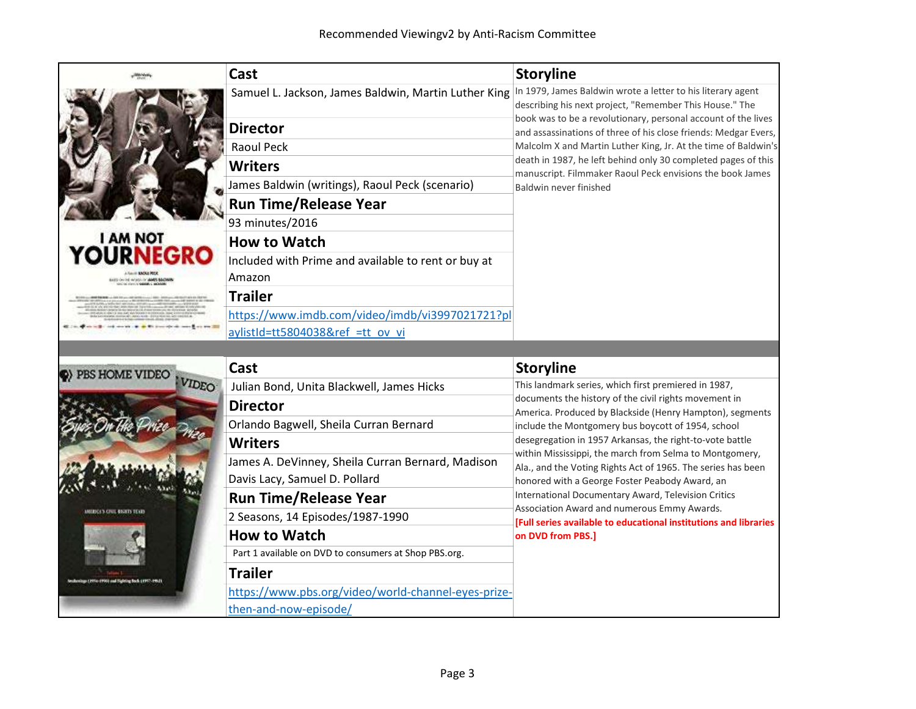|                                 | Cast                                                                                                             | <b>Storyline</b>                                                                                                                 |
|---------------------------------|------------------------------------------------------------------------------------------------------------------|----------------------------------------------------------------------------------------------------------------------------------|
|                                 | Samuel L. Jackson, James Baldwin, Martin Luther King In 1979, James Baldwin wrote a letter to his literary agent | describing his next project, "Remember This House." The                                                                          |
|                                 | <b>Director</b>                                                                                                  | book was to be a revolutionary, personal account of the lives<br>and assassinations of three of his close friends: Medgar Evers, |
|                                 | <b>Raoul Peck</b>                                                                                                | Malcolm X and Martin Luther King, Jr. At the time of Baldwin's                                                                   |
|                                 | <b>Writers</b>                                                                                                   | death in 1987, he left behind only 30 completed pages of this<br>manuscript. Filmmaker Raoul Peck envisions the book James       |
|                                 | James Baldwin (writings), Raoul Peck (scenario)                                                                  | Baldwin never finished                                                                                                           |
|                                 | <b>Run Time/Release Year</b>                                                                                     |                                                                                                                                  |
|                                 | 93 minutes/2016                                                                                                  |                                                                                                                                  |
| <b>LAM NOT<br/>JURNEGRO</b>     | <b>How to Watch</b>                                                                                              |                                                                                                                                  |
| <b>AGENCY AMELIA</b>            | Included with Prime and available to rent or buy at<br>Amazon                                                    |                                                                                                                                  |
|                                 | <b>Trailer</b>                                                                                                   |                                                                                                                                  |
|                                 | https://www.imdb.com/video/imdb/vi3997021721?pl                                                                  |                                                                                                                                  |
|                                 | aylistId=tt5804038&ref =tt ov vi                                                                                 |                                                                                                                                  |
|                                 | Cast                                                                                                             | <b>Storyline</b>                                                                                                                 |
| (PBS HOME VIDEO<br><b>VIDEO</b> | Julian Bond, Unita Blackwell, James Hicks                                                                        | This landmark series, which first premiered in 1987,                                                                             |
|                                 | <b>Director</b>                                                                                                  | documents the history of the civil rights movement in                                                                            |
|                                 | Orlando Bagwell, Sheila Curran Bernard                                                                           | America. Produced by Blackside (Henry Hampton), segments<br>include the Montgomery bus boycott of 1954, school                   |
|                                 | <b>Writers</b>                                                                                                   | desegregation in 1957 Arkansas, the right-to-vote battle                                                                         |
|                                 | James A. DeVinney, Sheila Curran Bernard, Madison                                                                | within Mississippi, the march from Selma to Montgomery,<br>Ala., and the Voting Rights Act of 1965. The series has been          |
|                                 | Davis Lacy, Samuel D. Pollard                                                                                    | honored with a George Foster Peabody Award, an                                                                                   |
|                                 | <b>Run Time/Release Year</b>                                                                                     | International Documentary Award, Television Critics                                                                              |
|                                 | 2 Seasons, 14 Episodes/1987-1990                                                                                 | Association Award and numerous Emmy Awards.<br><b>Full series available to educational institutions and libraries</b>            |
|                                 | <b>How to Watch</b>                                                                                              | on DVD from PBS.]                                                                                                                |
|                                 | Part 1 available on DVD to consumers at Shop PBS.org.                                                            |                                                                                                                                  |
| in 1996) and Highling Rock (19  | <b>Trailer</b>                                                                                                   |                                                                                                                                  |
|                                 | https://www.pbs.org/video/world-channel-eyes-prize-                                                              |                                                                                                                                  |
|                                 | then-and-now-episode/                                                                                            |                                                                                                                                  |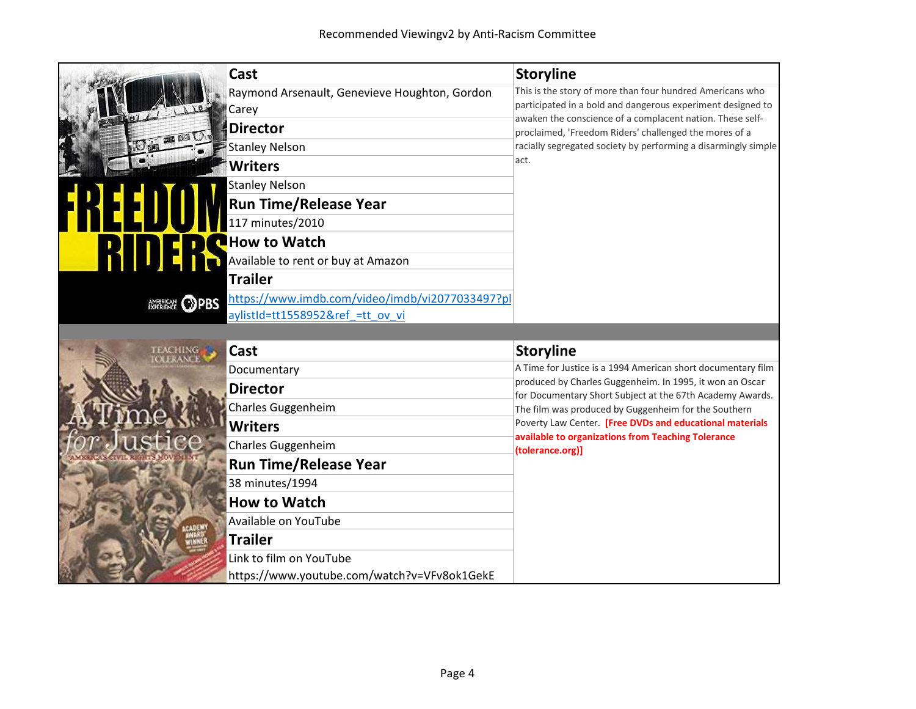|                        | Cast                                            | <b>Storyline</b>                                                                                                         |
|------------------------|-------------------------------------------------|--------------------------------------------------------------------------------------------------------------------------|
|                        | Raymond Arsenault, Genevieve Houghton, Gordon   | This is the story of more than four hundred Americans who<br>participated in a bold and dangerous experiment designed to |
|                        | Carey                                           | awaken the conscience of a complacent nation. These self-                                                                |
|                        | <b>Director</b>                                 | proclaimed, 'Freedom Riders' challenged the mores of a                                                                   |
|                        | <b>Stanley Nelson</b>                           | racially segregated society by performing a disarmingly simple<br>act.                                                   |
|                        | <b>Writers</b>                                  |                                                                                                                          |
|                        | <b>Stanley Nelson</b>                           |                                                                                                                          |
|                        | <b>Run Time/Release Year</b>                    |                                                                                                                          |
|                        | 117 minutes/2010                                |                                                                                                                          |
|                        | <b>How to Watch</b>                             |                                                                                                                          |
|                        | Available to rent or buy at Amazon              |                                                                                                                          |
|                        | <b>Trailer</b>                                  |                                                                                                                          |
| EXPERIENCE <b>OPBS</b> | https://www.imdb.com/video/imdb/vi2077033497?pl |                                                                                                                          |
|                        | aylistId=tt1558952&ref =tt ov vi                |                                                                                                                          |
|                        |                                                 |                                                                                                                          |
|                        |                                                 |                                                                                                                          |
|                        | Cast                                            | <b>Storyline</b>                                                                                                         |
|                        | Documentary                                     | A Time for Justice is a 1994 American short documentary film                                                             |
|                        | <b>Director</b>                                 | produced by Charles Guggenheim. In 1995, it won an Oscar<br>for Documentary Short Subject at the 67th Academy Awards.    |
|                        | Charles Guggenheim                              | The film was produced by Guggenheim for the Southern                                                                     |
|                        | <b>Writers</b>                                  | Poverty Law Center. [Free DVDs and educational materials                                                                 |
|                        | Charles Guggenheim                              | available to organizations from Teaching Tolerance                                                                       |
|                        | <b>Run Time/Release Year</b>                    | (tolerance.org)]                                                                                                         |
|                        | 38 minutes/1994                                 |                                                                                                                          |
|                        | <b>How to Watch</b>                             |                                                                                                                          |
|                        | Available on YouTube                            |                                                                                                                          |
|                        | <b>Trailer</b>                                  |                                                                                                                          |
|                        | Link to film on YouTube                         |                                                                                                                          |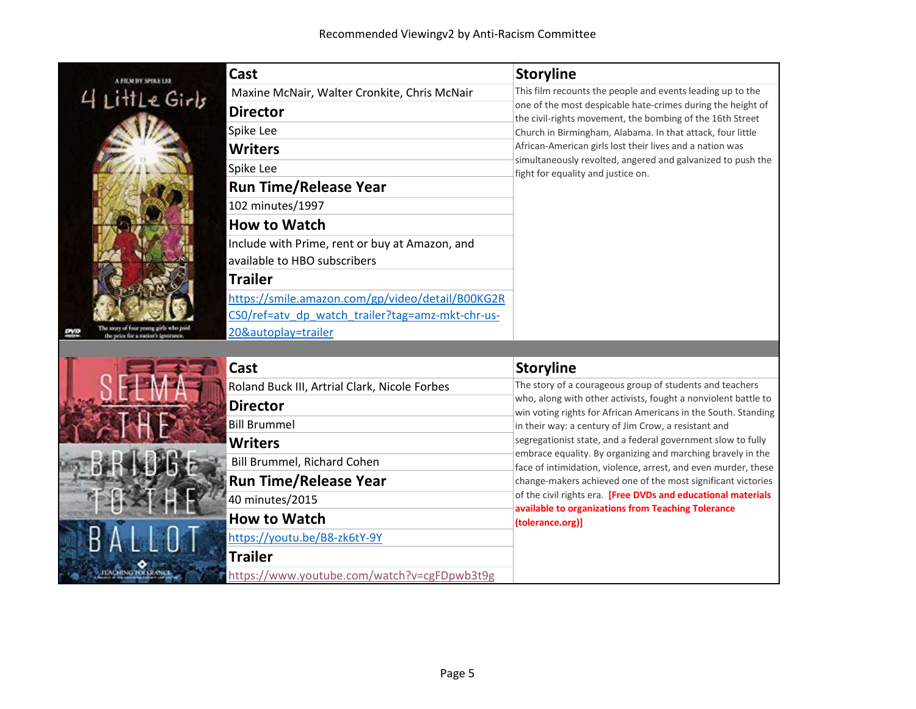

II MA

| Cast                                             | <b>Storyline</b>                                                                                                         |
|--------------------------------------------------|--------------------------------------------------------------------------------------------------------------------------|
| Maxine McNair, Walter Cronkite, Chris McNair     | This film recounts the people and events leading up to the                                                               |
| <b>Director</b>                                  | one of the most despicable hate-crimes during the height of<br>the civil-rights movement, the bombing of the 16th Street |
| Spike Lee                                        | Church in Birmingham, Alabama. In that attack, four little                                                               |
| <b>Writers</b>                                   | African-American girls lost their lives and a nation was                                                                 |
| Spike Lee                                        | simultaneously revolted, angered and galvanized to push the<br>fight for equality and justice on.                        |
| <b>Run Time/Release Year</b>                     |                                                                                                                          |
| 102 minutes/1997                                 |                                                                                                                          |
| <b>How to Watch</b>                              |                                                                                                                          |
| Include with Prime, rent or buy at Amazon, and   |                                                                                                                          |
| available to HBO subscribers                     |                                                                                                                          |
| Trailer                                          |                                                                                                                          |
| https://smile.amazon.com/gp/video/detail/B00KG2R |                                                                                                                          |
| CSO/ref=atv dp watch trailer?tag=amz-mkt-chr-us- |                                                                                                                          |
| 20&autoplay=trailer                              |                                                                                                                          |

| Cast                                          | <b>Storyline</b>                                                                                                                 |
|-----------------------------------------------|----------------------------------------------------------------------------------------------------------------------------------|
| Roland Buck III, Artrial Clark, Nicole Forbes | The story of a courageous group of students and teachers                                                                         |
| <b>Director</b>                               | who, along with other activists, fought a nonviolent battle to<br>win voting rights for African Americans in the South. Standing |
| <b>Bill Brummel</b>                           | in their way: a century of Jim Crow, a resistant and                                                                             |
| <b>Writers</b>                                | segregationist state, and a federal government slow to fully                                                                     |
| Bill Brummel, Richard Cohen                   | embrace equality. By organizing and marching bravely in the<br>face of intimidation, violence, arrest, and even murder, these    |
| <b>Run Time/Release Year</b>                  | change-makers achieved one of the most significant victories                                                                     |
| 40 minutes/2015                               | of the civil rights era. [Free DVDs and educational materials<br>available to organizations from Teaching Tolerance              |
| <b>How to Watch</b>                           | (tolerance.org)]                                                                                                                 |
| https://youtu.be/B8-zk6tY-9Y                  |                                                                                                                                  |
| <b>Trailer</b>                                |                                                                                                                                  |
| https://www.youtube.com/watch?v=cgFDpwb3t9g   |                                                                                                                                  |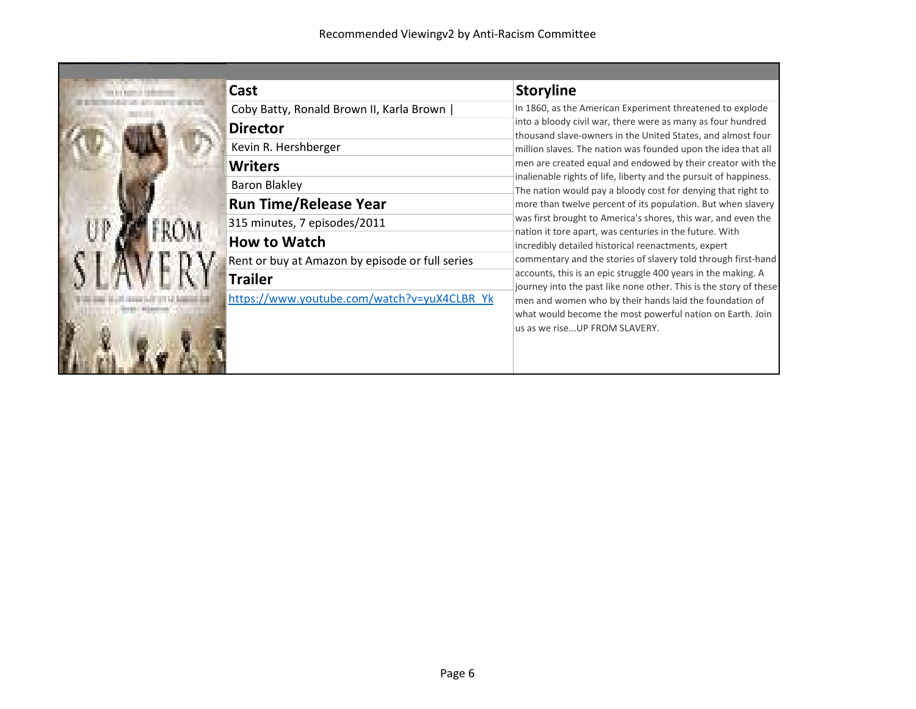| Cast                                            | <b>Storyline</b>                                                                                                                   |
|-------------------------------------------------|------------------------------------------------------------------------------------------------------------------------------------|
| Coby Batty, Ronald Brown II, Karla Brown        | In 1860, as the American Experiment threatened to explode                                                                          |
| <b>Director</b>                                 | into a bloody civil war, there were as many as four hundred<br>thousand slave-owners in the United States, and almost four         |
| Kevin R. Hershberger                            | million slaves. The nation was founded upon the idea that all                                                                      |
| <b>Writers</b>                                  | men are created equal and endowed by their creator with the                                                                        |
| <b>Baron Blakley</b>                            | inalienable rights of life, liberty and the pursuit of happiness.<br>The nation would pay a bloody cost for denying that right to  |
| <b>Run Time/Release Year</b>                    | more than twelve percent of its population. But when slavery                                                                       |
| 315 minutes, 7 episodes/2011                    | was first brought to America's shores, this war, and even the<br>nation it tore apart, was centuries in the future. With           |
| <b>How to Watch</b>                             | incredibly detailed historical reenactments, expert                                                                                |
| Rent or buy at Amazon by episode or full series | commentary and the stories of slavery told through first-hand                                                                      |
| <b>Trailer</b>                                  | accounts, this is an epic struggle 400 years in the making. A<br>journey into the past like none other. This is the story of these |
| https://www.youtube.com/watch?v=yuX4CLBR Yk     | men and women who by their hands laid the foundation of                                                                            |
|                                                 | what would become the most powerful nation on Earth. Join                                                                          |
|                                                 | us as we riseUP FROM SLAVERY.                                                                                                      |
|                                                 |                                                                                                                                    |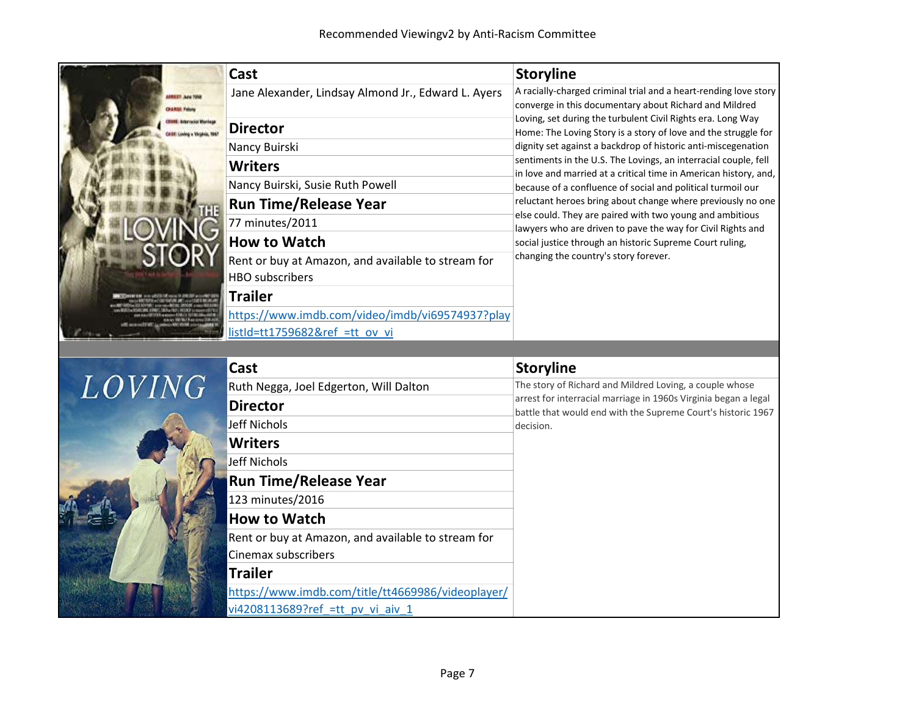



| Cast                                               | <b>Storyline</b>                                                                                                                |
|----------------------------------------------------|---------------------------------------------------------------------------------------------------------------------------------|
| Ruth Negga, Joel Edgerton, Will Dalton             | The story of Richard and Mildred Loving, a couple whose                                                                         |
| <b>Director</b>                                    | arrest for interracial marriage in 1960s Virginia began a legal<br>battle that would end with the Supreme Court's historic 1967 |
| Jeff Nichols                                       | decision.                                                                                                                       |
| <b>Writers</b>                                     |                                                                                                                                 |
| lJeff Nichols                                      |                                                                                                                                 |
| <b>Run Time/Release Year</b>                       |                                                                                                                                 |
| 123 minutes/2016                                   |                                                                                                                                 |
| <b>How to Watch</b>                                |                                                                                                                                 |
| Rent or buy at Amazon, and available to stream for |                                                                                                                                 |
| Cinemax subscribers                                |                                                                                                                                 |
| <b>Trailer</b>                                     |                                                                                                                                 |
| https://www.imdb.com/title/tt4669986/videoplayer/  |                                                                                                                                 |
| vi4208113689?ref =tt pv vi aiv 1                   |                                                                                                                                 |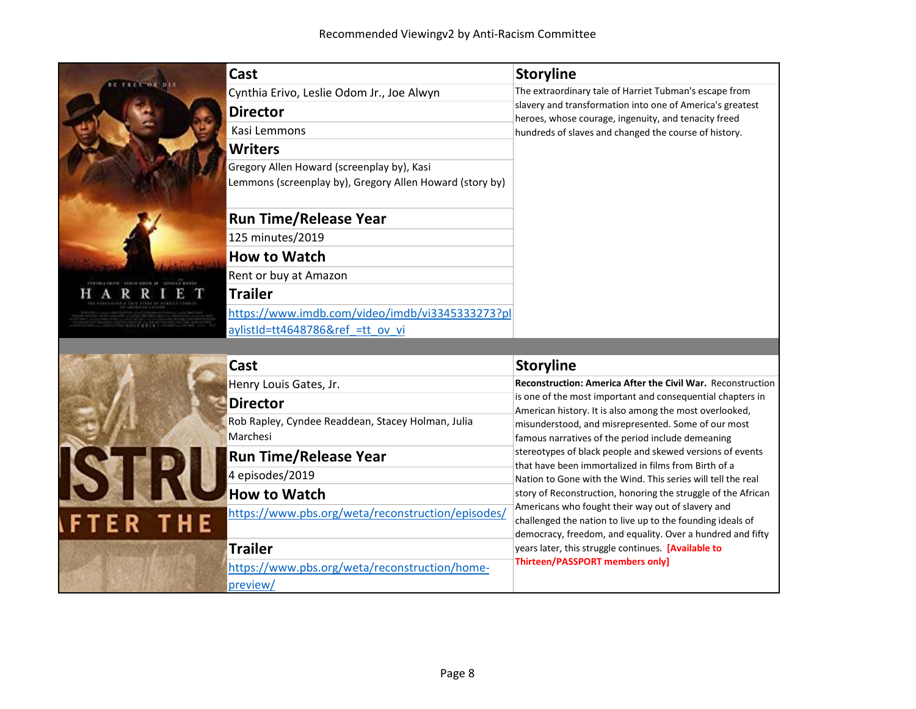| Cast                                                     | <b>Storyline</b>                                                                                                      |
|----------------------------------------------------------|-----------------------------------------------------------------------------------------------------------------------|
| Cynthia Erivo, Leslie Odom Jr., Joe Alwyn                | The extraordinary tale of Harriet Tubman's escape from                                                                |
| <b>Director</b>                                          | slavery and transformation into one of America's greatest<br>heroes, whose courage, ingenuity, and tenacity freed     |
| Kasi Lemmons                                             | hundreds of slaves and changed the course of history.                                                                 |
| <b>Writers</b>                                           |                                                                                                                       |
| Gregory Allen Howard (screenplay by), Kasi               |                                                                                                                       |
| Lemmons (screenplay by), Gregory Allen Howard (story by) |                                                                                                                       |
| <b>Run Time/Release Year</b>                             |                                                                                                                       |
| 125 minutes/2019                                         |                                                                                                                       |
| <b>How to Watch</b>                                      |                                                                                                                       |
| Rent or buy at Amazon                                    |                                                                                                                       |
| <b>Trailer</b>                                           |                                                                                                                       |
| https://www.imdb.com/video/imdb/vi3345333273?pl          |                                                                                                                       |
| aylistId=tt4648786&ref =tt ov vi                         |                                                                                                                       |
|                                                          |                                                                                                                       |
| Cast                                                     | <b>Storyline</b>                                                                                                      |
| Henry Louis Gates, Jr.                                   | <b>Reconstruction: America After the Civil War. Reconstruction</b>                                                    |
| <b>Director</b>                                          | is one of the most important and consequential chapters in<br>American history. It is also among the most overlooked, |
| Rob Rapley, Cyndee Readdean, Stacey Holman, Julia        | misunderstood, and misrepresented. Some of our most                                                                   |
| Marchesi                                                 | famous narratives of the period include demeaning                                                                     |
| <b>Run Time/Release Year</b>                             | stereotypes of black people and skewed versions of events<br>that have been immortalized in films from Birth of a     |
| 4 episodes/2019                                          | Nation to Gone with the Wind. This series will tell the real                                                          |
| <b>How to Watch</b>                                      | story of Reconstruction, honoring the struggle of the African                                                         |
| https://www.pbs.org/weta/reconstruction/episodes/        | Americans who fought their way out of slavery and<br>challenged the nation to live up to the founding ideals of       |
|                                                          | la de la concentra de la construcción de la concentración de la concentración de la concentración de la concent       |

**Trailer** 

preview/

https://www.pbs.org/weta/reconstruction/home-

democracy, freedom, and equality. Over a hundred and fifty

years later, this struggle continues. [Available to

Thirteen/PASSPORT members only]